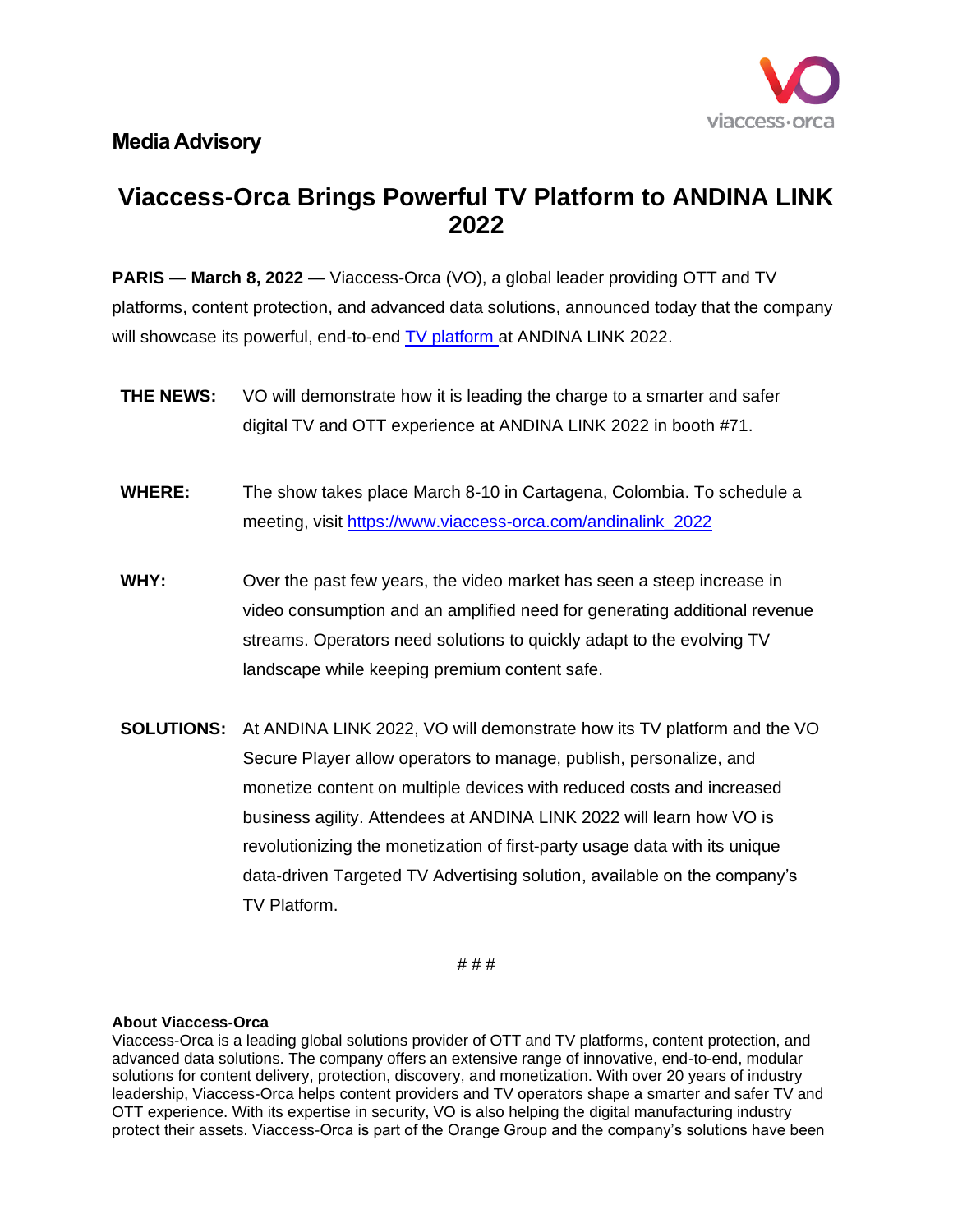

## **Media Advisory**

## **Viaccess-Orca Brings Powerful TV Platform to ANDINA LINK 2022**

**PARIS** — **March 8, 2022** — Viaccess-Orca (VO), a global leader providing OTT and TV platforms, content protection, and advanced data solutions, announced today that the company will showcase its powerful, end-to-end [TV platform](https://www.viaccess-orca.com/ott-tv) at ANDINA LINK 2022.

- **THE NEWS:** VO will demonstrate how it is leading the charge to a smarter and safer digital TV and OTT experience at ANDINA LINK 2022 in booth #71.
- **WHERE:** The show takes place March 8-10 in Cartagena, Colombia. To schedule a meeting, visit [https://www.viaccess-orca.com/andinalink\\_2022](https://www.viaccess-orca.com/andinalink_2022)
- **WHY:** Over the past few years, the video market has seen a steep increase in video consumption and an amplified need for generating additional revenue streams. Operators need solutions to quickly adapt to the evolving TV landscape while keeping premium content safe.
- **SOLUTIONS:** At ANDINA LINK 2022, VO will demonstrate how its TV platform and the VO Secure Player allow operators to manage, publish, personalize, and monetize content on multiple devices with reduced costs and increased business agility. Attendees at ANDINA LINK 2022 will learn how VO is revolutionizing the monetization of first-party usage data with its unique data-driven Targeted TV Advertising solution, available on the company's TV Platform.

# # #

## **About Viaccess-Orca**

Viaccess-Orca is a leading global solutions provider of OTT and TV platforms, content protection, and advanced data solutions. The company offers an extensive range of innovative, end-to-end, modular solutions for content delivery, protection, discovery, and monetization. With over 20 years of industry leadership, Viaccess-Orca helps content providers and TV operators shape a smarter and safer TV and OTT experience. With its expertise in security, VO is also helping the digital manufacturing industry protect their assets. Viaccess-Orca is part of the Orange Group and the company's solutions have been